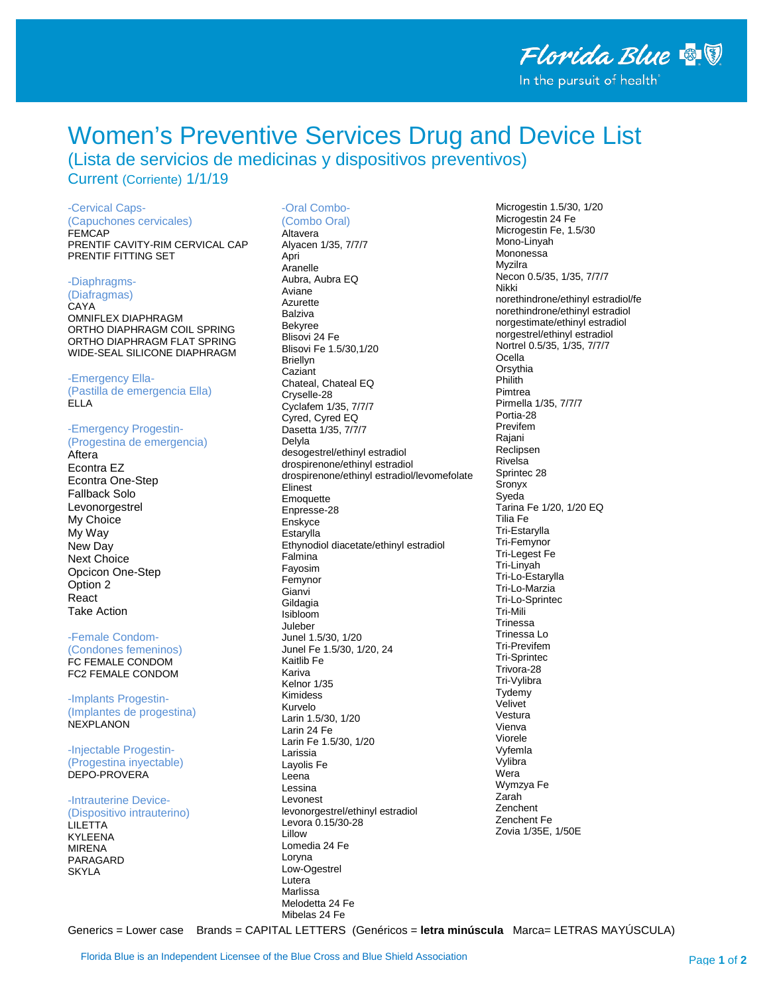# **Women's Preventive Services Drug and Device List**

(Lista de servicios de medicinas y dispositivos preventivos) Current (Corriente) 1/1/19

## -Cervical Caps-

(Capuchones cervicales) **FEMCAP** PRENTIF CAVITY-RIM CERVICAL CAP PRENTIF FITTING SET

## -Diaphragms-

(Diafragmas) CAYA OMNIFLEX DIAPHRAGM ORTHO DIAPHRAGM COIL SPRING ORTHO DIAPHRAGM FLAT SPRING WIDE-SEAL SILICONE DIAPHRAGM

#### -Emergency Ella-

(Pastilla de emergencia Ella) FIIA

#### -Emergency Progestin-(Progestina de emergencia)

Aftera Econtra EZ **Econtra One-Step** Fallback Solo Levonorgestrel My Choice My Way New Day Next Choice Opcicon One-Step Option 2 React **Take Action** 

### -Female Condom-

(Condones femeninos) FC FEMALE CONDOM FC2 FEMALE CONDOM

#### -Implants Progestin-(Implantes de progestina) **NEXPLANON**

-Injectable Progestin-(Progestina invectable) DEPO-PROVERA

#### -Intrauterine Device-(Dispositivo intrauterino) **LILETTA KYLEENA MIRENA** PARAGARD **SKYLA**

# -Oral Combo-

(Combo Oral) Altavera Alyacen 1/35, 7/7/7 Anri Aranelle Aubra, Aubra EQ Aviane Azurette **Balziva Bekyree** Blisovi 24 Fe Blisovi Fe 1.5/30.1/20 **Briellyn** Caziant Chateal, Chateal EQ Cryselle-28 Cyclafem 1/35, 7/7/7 Cyred, Cyred EQ Dasetta 1/35, 7/7/7 Delyla desogestrel/ethinyl estradiol drospirenone/ethinyl estradiol drospirenone/ethinyl estradiol/levomefolate Elinest Emoquette Enpresse-28 Enskvce Estarylla Ethynodiol diacetate/ethinyl estradiol Falmina Fayosim Femynor Gianvi Gildagia Isibloom Juleber Junel 1.5/30, 1/20 Junel Fe 1.5/30, 1/20, 24 Kaitlib Fe Kariya Kelnor 1/35 Kimidess Kurvelo Larin 1.5/30, 1/20 Larin 24 Fe Larin Fe 1.5/30, 1/20 I arissia Lavolis Fe Leena Lessina I evonest levonorgestrel/ethinyl estradiol Levora 0.15/30-28 **Lillow** Lomedia 24 Fe Loryna Low-Ogestrel Lutera Marlissa Melodetta 24 Fe Mibelas 24 Fe

Microgestin 1.5/30, 1/20 Microgestin 24 Fe Microgestin Fe, 1.5/30 Mono-Linyah Mononessa Mvzilra Necon 0.5/35, 1/35, 7/7/7 Nikki norethindrone/ethinyl estradiol/fe norethindrone/ethinyl estradiol norgestimate/ethinyl estradiol norgestrel/ethinyl estradiol Nortrel 0.5/35, 1/35, 7/7/7 Ocella Orsythia Philith Pimtrea Pirmella 1/35, 7/7/7 Portia-28 Previfem Raiani Reclipsen Rivelsa Sprintec 28 Sronyx Sveda Tarina Fe 1/20, 1/20 EQ Tilia Fe Tri-Estarylla Tri-Femynor Tri-Legest Fe Tri-Linyah Tri-Lo-Estarvlla Tri-Lo-Marzia Tri-Lo-Sprintec Tri-Mili Trinessa Trinessa Lo Tri-Previfem **Tri-Sprintec** Trivora-28 Tri-Vvlibra Tydemy Velivet Vestura Vienva Viorele Vvfemla Vylibra Wera Wymzya Fe Zarah **Zenchent** Zenchent Fe Zovia 1/35E, 1/50E

Generics = Lower case Brands = CAPITAL LETTERS (Genéricos = letra minúscula Marca= LETRAS MAYÚSCULA)